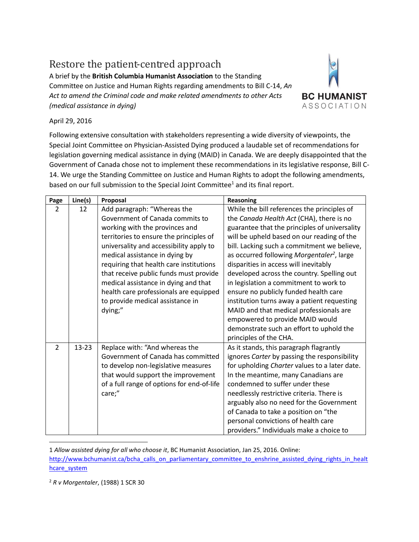## Restore the patient-centred approach

A brief by the **British Columbia Humanist Association** to the Standing Committee on Justice and Human Rights regarding amendments to Bill C-14, *An Act to amend the Criminal code and make related amendments to other Acts (medical assistance in dying)*



## April 29, 2016

Following extensive consultation with stakeholders representing a wide diversity of viewpoints, the Special Joint Committee on Physician-Assisted Dying produced a laudable set of recommendations for legislation governing medical assistance in dying (MAID) in Canada. We are deeply disappointed that the Government of Canada chose not to implement these recommendations in its legislative response, Bill C-14. We urge the Standing Committee on Justice and Human Rights to adopt the following amendments, based on our full submission to the Special Joint Committee<sup>1</sup> and its final report.

| Page          | Line(s)   | Proposal                                   | <b>Reasoning</b>                                       |
|---------------|-----------|--------------------------------------------|--------------------------------------------------------|
| $\mathcal{P}$ | 12        | Add paragraph: "Whereas the                | While the bill references the principles of            |
|               |           | Government of Canada commits to            | the Canada Health Act (CHA), there is no               |
|               |           | working with the provinces and             | guarantee that the principles of universality          |
|               |           | territories to ensure the principles of    | will be upheld based on our reading of the             |
|               |           | universality and accessibility apply to    | bill. Lacking such a commitment we believe,            |
|               |           | medical assistance in dying by             | as occurred following Morgentaler <sup>2</sup> , large |
|               |           | requiring that health care institutions    | disparities in access will inevitably                  |
|               |           | that receive public funds must provide     | developed across the country. Spelling out             |
|               |           | medical assistance in dying and that       | in legislation a commitment to work to                 |
|               |           | health care professionals are equipped     | ensure no publicly funded health care                  |
|               |           | to provide medical assistance in           | institution turns away a patient requesting            |
|               |           | dying;"                                    | MAID and that medical professionals are                |
|               |           |                                            | empowered to provide MAID would                        |
|               |           |                                            | demonstrate such an effort to uphold the               |
|               |           |                                            | principles of the CHA.                                 |
| $\mathcal{P}$ | $13 - 23$ | Replace with: "And whereas the             | As it stands, this paragraph flagrantly                |
|               |           | Government of Canada has committed         | ignores Carter by passing the responsibility           |
|               |           | to develop non-legislative measures        | for upholding Charter values to a later date.          |
|               |           | that would support the improvement         | In the meantime, many Canadians are                    |
|               |           | of a full range of options for end-of-life | condemned to suffer under these                        |
|               |           | care;"                                     | needlessly restrictive criteria. There is              |
|               |           |                                            | arguably also no need for the Government               |
|               |           |                                            | of Canada to take a position on "the                   |
|               |           |                                            | personal convictions of health care                    |
|               |           |                                            | providers." Individuals make a choice to               |
|               |           |                                            |                                                        |

1 *Allow assisted dying for all who choose it*, BC Humanist Association, Jan 25, 2016. Online: [http://www.bchumanist.ca/bcha\\_calls\\_on\\_parliamentary\\_committee\\_to\\_enshrine\\_assisted\\_dying\\_rights\\_in\\_healt](http://www.bchumanist.ca/bcha_calls_on_parliamentary_committee_to_enshrine_assisted_dying_rights_in_healthcare_system) [hcare\\_system](http://www.bchumanist.ca/bcha_calls_on_parliamentary_committee_to_enshrine_assisted_dying_rights_in_healthcare_system)

<sup>2</sup> *R v Morgentaler*, (1988) 1 SCR 30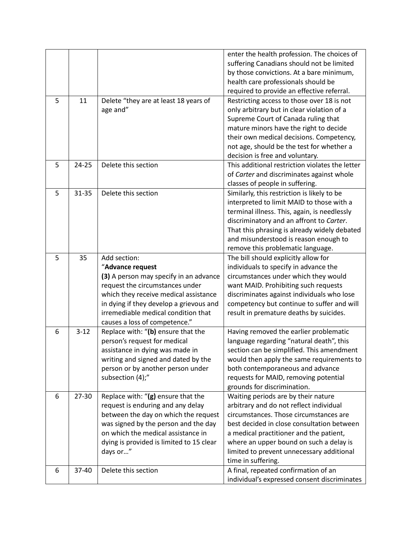|   |           |                                                                                                                                                                                                                                                                           | enter the health profession. The choices of<br>suffering Canadians should not be limited<br>by those convictions. At a bare minimum,<br>health care professionals should be<br>required to provide an effective referral.                                                                                                       |
|---|-----------|---------------------------------------------------------------------------------------------------------------------------------------------------------------------------------------------------------------------------------------------------------------------------|---------------------------------------------------------------------------------------------------------------------------------------------------------------------------------------------------------------------------------------------------------------------------------------------------------------------------------|
| 5 | 11        | Delete "they are at least 18 years of<br>age and"                                                                                                                                                                                                                         | Restricting access to those over 18 is not<br>only arbitrary but in clear violation of a<br>Supreme Court of Canada ruling that<br>mature minors have the right to decide<br>their own medical decisions. Competency,<br>not age, should be the test for whether a<br>decision is free and voluntary.                           |
| 5 | $24 - 25$ | Delete this section                                                                                                                                                                                                                                                       | This additional restriction violates the letter<br>of Carter and discriminates against whole<br>classes of people in suffering.                                                                                                                                                                                                 |
| 5 | $31 - 35$ | Delete this section                                                                                                                                                                                                                                                       | Similarly, this restriction is likely to be<br>interpreted to limit MAID to those with a<br>terminal illness. This, again, is needlessly<br>discriminatory and an affront to Carter.<br>That this phrasing is already widely debated<br>and misunderstood is reason enough to<br>remove this problematic language.              |
| 5 | 35        | Add section:<br>"Advance request<br>(3) A person may specify in an advance<br>request the circumstances under<br>which they receive medical assistance<br>in dying if they develop a grievous and<br>irremediable medical condition that<br>causes a loss of competence." | The bill should explicitly allow for<br>individuals to specify in advance the<br>circumstances under which they would<br>want MAID. Prohibiting such requests<br>discriminates against individuals who lose<br>competency but continue to suffer and will<br>result in premature deaths by suicides.                            |
| 6 | $3 - 12$  | Replace with: "(b) ensure that the<br>person's request for medical<br>assistance in dying was made in<br>writing and signed and dated by the<br>person or by another person under<br>subsection (4);"                                                                     | Having removed the earlier problematic<br>language regarding "natural death", this<br>section can be simplified. This amendment<br>would then apply the same requirements to<br>both contemporaneous and advance<br>requests for MAID, removing potential<br>grounds for discrimination.                                        |
| 6 | 27-30     | Replace with: "(g) ensure that the<br>request is enduring and any delay<br>between the day on which the request<br>was signed by the person and the day<br>on which the medical assistance in<br>dying is provided is limited to 15 clear<br>days or"                     | Waiting periods are by their nature<br>arbitrary and do not reflect individual<br>circumstances. Those circumstances are<br>best decided in close consultation between<br>a medical practitioner and the patient,<br>where an upper bound on such a delay is<br>limited to prevent unnecessary additional<br>time in suffering. |
| 6 | 37-40     | Delete this section                                                                                                                                                                                                                                                       | A final, repeated confirmation of an<br>individual's expressed consent discriminates                                                                                                                                                                                                                                            |